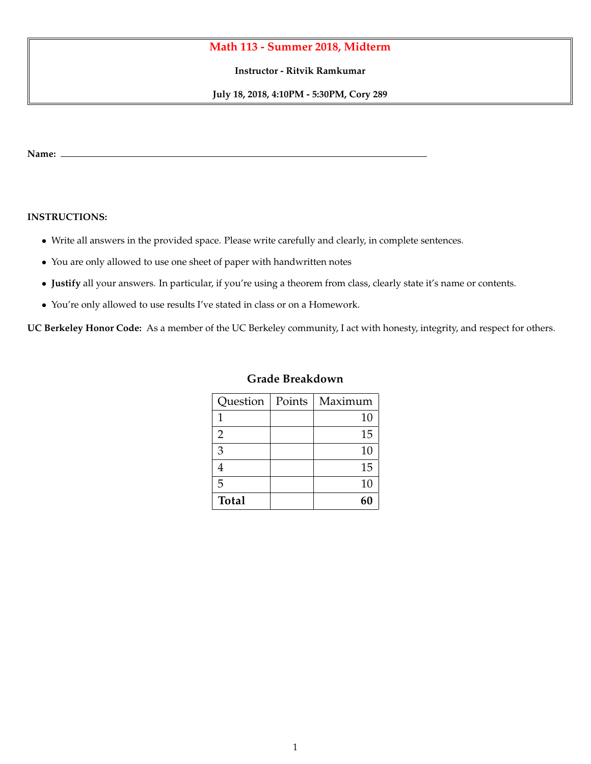## **Math 113 - Summer 2018, Midterm**

**Instructor - Ritvik Ramkumar**

**July 18, 2018, 4:10PM - 5:30PM, Cory 289**

**Name:**

## **INSTRUCTIONS:**

- *•* Write all answers in the provided space. Please write carefully and clearly, in complete sentences.
- *•* You are only allowed to use one sheet of paper with handwritten notes
- *•* **Justify** all your answers. In particular, if you're using a theorem from class, clearly state it's name or contents.
- *•* You're only allowed to use results I've stated in class or on a Homework.

**UC Berkeley Honor Code:** As a member of the UC Berkeley community, I act with honesty, integrity, and respect for others.

| Question     | Points | Maximum |
|--------------|--------|---------|
| 1            |        | 10      |
| 2            |        | 15      |
| 3            |        | 10      |
| 4            |        | 15      |
| 5            |        | 10      |
| <b>Total</b> |        |         |

## **Grade Breakdown**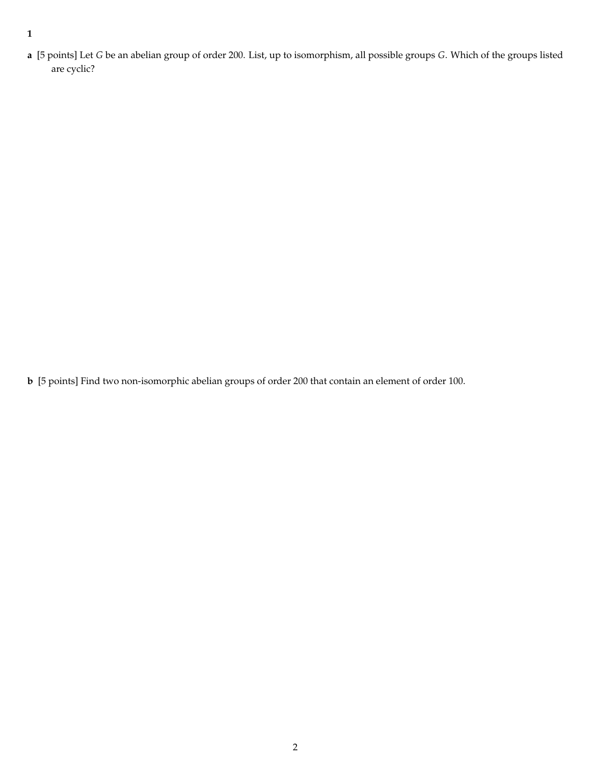**1**

**a** [5 points] Let *G* be an abelian group of order 200. List, up to isomorphism, all possible groups *G*. Which of the groups listed are cyclic?

**b** [5 points] Find two non-isomorphic abelian groups of order 200 that contain an element of order 100.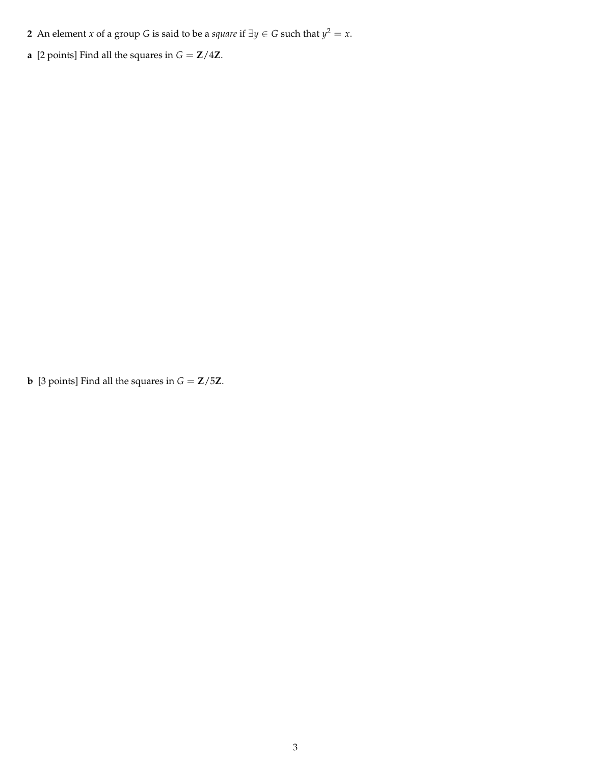- **2** An element *x* of a group *G* is said to be a *square* if  $\exists y \in G$  such that  $y^2 = x$ .
- **a** [2 points] Find all the squares in  $G = \mathbf{Z}/4\mathbf{Z}$ .

**b** [3 points] Find all the squares in  $G = \mathbf{Z}/5\mathbf{Z}$ .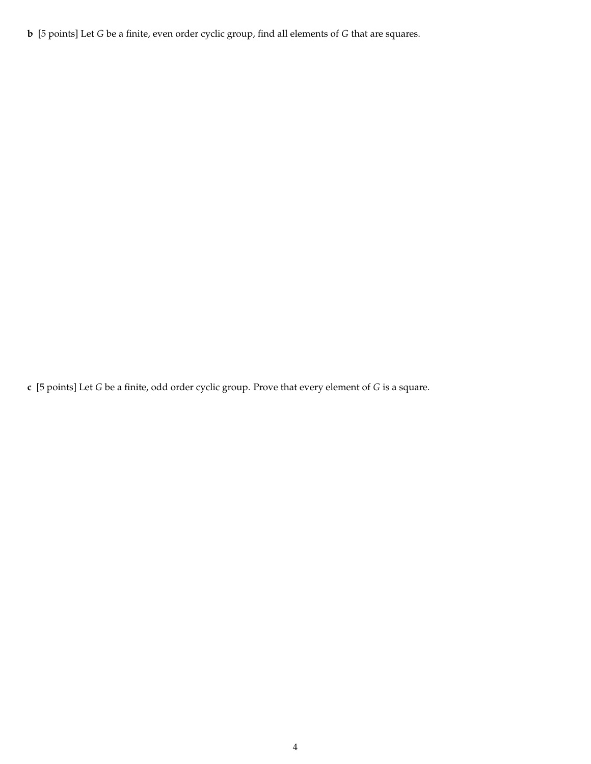**b** [5 points] Let *G* be a finite, even order cyclic group, find all elements of *G* that are squares.

**c** [5 points] Let *G* be a finite, odd order cyclic group. Prove that every element of *G* is a square.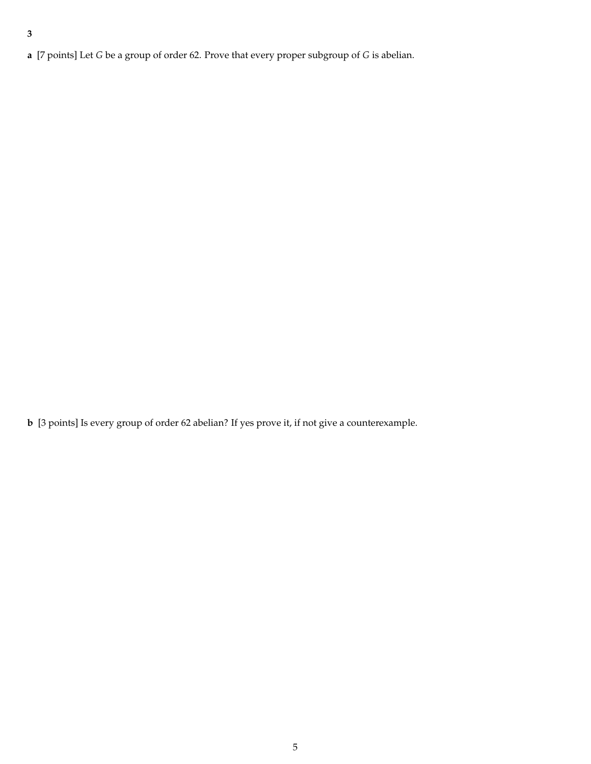**a** [7 points] Let *G* be a group of order 62. Prove that every proper subgroup of *G* is abelian.

**b** [3 points] Is every group of order 62 abelian? If yes prove it, if not give a counterexample.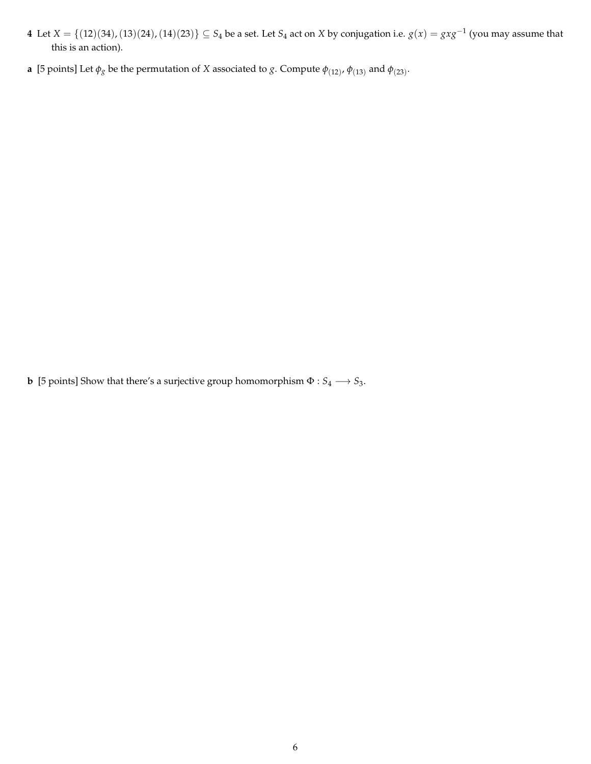- **4** Let  $X = \{(12)(34), (13)(24), (14)(23)\}\subseteq S_4$  be a set. Let  $S_4$  act on  $X$  by conjugation i.e.  $g(x) = gxg^{-1}$  (you may assume that this is an action).
- **a** [5 points] Let  $\phi_g$  be the permutation of *X* associated to *g*. Compute  $\phi_{(12)}$ ,  $\phi_{(13)}$  and  $\phi_{(23)}$ .

 $\mathbf b$  [5 points] Show that there's a surjective group homomorphism  $\Phi: S_4 \longrightarrow S_3.$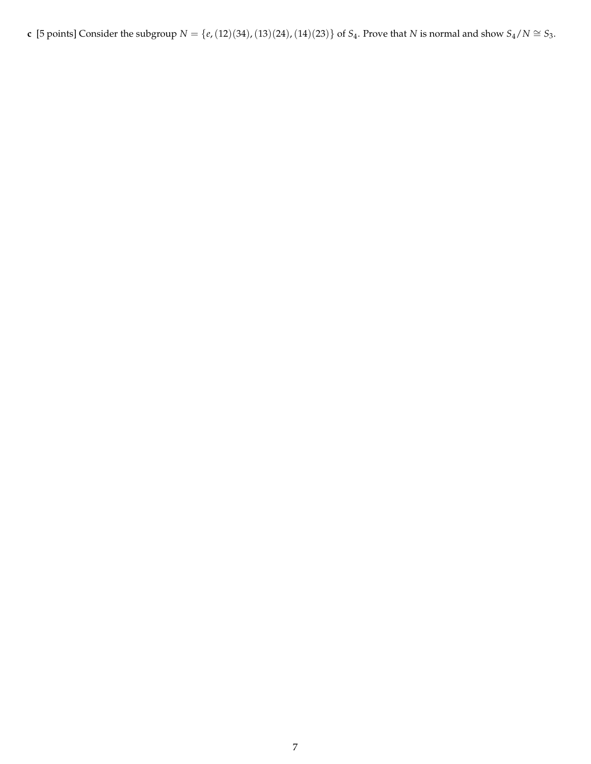**c** [5 points] Consider the subgroup  $N = \{e, (12)(34), (13)(24), (14)(23)\}$  of  $S_4$ . Prove that  $N$  is normal and show  $S_4/N \cong S_3$ .